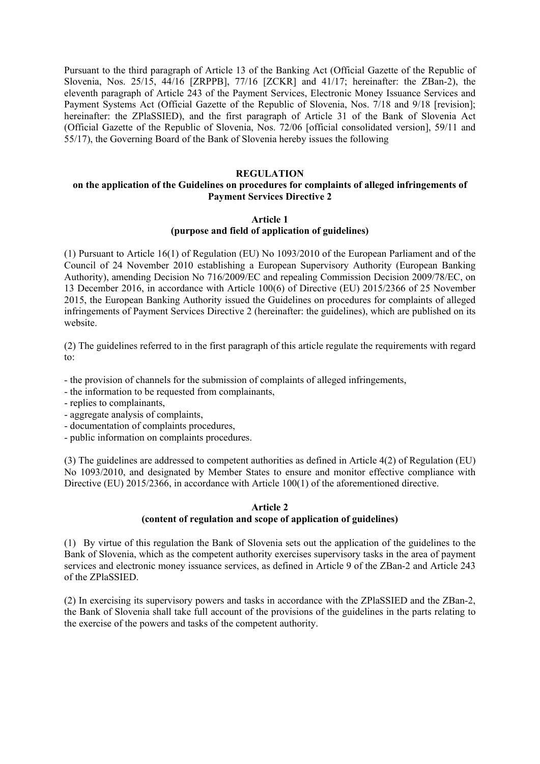Pursuant to the third paragraph of Article 13 of the Banking Act (Official Gazette of the Republic of Slovenia, Nos. 25/15, 44/16 [ZRPPB], 77/16 [ZCKR] and 41/17; hereinafter: the ZBan-2), the eleventh paragraph of Article 243 of the Payment Services, Electronic Money Issuance Services and Payment Systems Act (Official Gazette of the Republic of Slovenia, Nos. 7/18 and 9/18 [revision]; hereinafter: the ZPlaSSIED), and the first paragraph of Article 31 of the Bank of Slovenia Act (Official Gazette of the Republic of Slovenia, Nos. 72/06 [official consolidated version], 59/11 and 55/17), the Governing Board of the Bank of Slovenia hereby issues the following

## **REGULATION**

## **on the application of the Guidelines on procedures for complaints of alleged infringements of Payment Services Directive 2**

#### **Article 1**

## **(purpose and field of application of guidelines)**

(1) Pursuant to Article 16(1) of Regulation (EU) No 1093/2010 of the European Parliament and of the Council of 24 November 2010 establishing a European Supervisory Authority (European Banking Authority), amending Decision No 716/2009/EC and repealing Commission Decision 2009/78/EC, on 13 December 2016, in accordance with Article 100(6) of Directive (EU) 2015/2366 of 25 November 2015, the European Banking Authority issued the Guidelines on procedures for complaints of alleged infringements of Payment Services Directive 2 (hereinafter: the guidelines), which are published on its website.

(2) The guidelines referred to in the first paragraph of this article regulate the requirements with regard to:

- the provision of channels for the submission of complaints of alleged infringements,

- the information to be requested from complainants,

- replies to complainants,
- aggregate analysis of complaints,
- documentation of complaints procedures,
- public information on complaints procedures.

(3) The guidelines are addressed to competent authorities as defined in Article 4(2) of Regulation (EU) No 1093/2010, and designated by Member States to ensure and monitor effective compliance with Directive (EU) 2015/2366, in accordance with Article 100(1) of the aforementioned directive.

## **Article 2 (content of regulation and scope of application of guidelines)**

(1) By virtue of this regulation the Bank of Slovenia sets out the application of the guidelines to the Bank of Slovenia, which as the competent authority exercises supervisory tasks in the area of payment services and electronic money issuance services, as defined in Article 9 of the ZBan-2 and Article 243 of the ZPlaSSIED.

(2) In exercising its supervisory powers and tasks in accordance with the ZPlaSSIED and the ZBan-2, the Bank of Slovenia shall take full account of the provisions of the guidelines in the parts relating to the exercise of the powers and tasks of the competent authority.